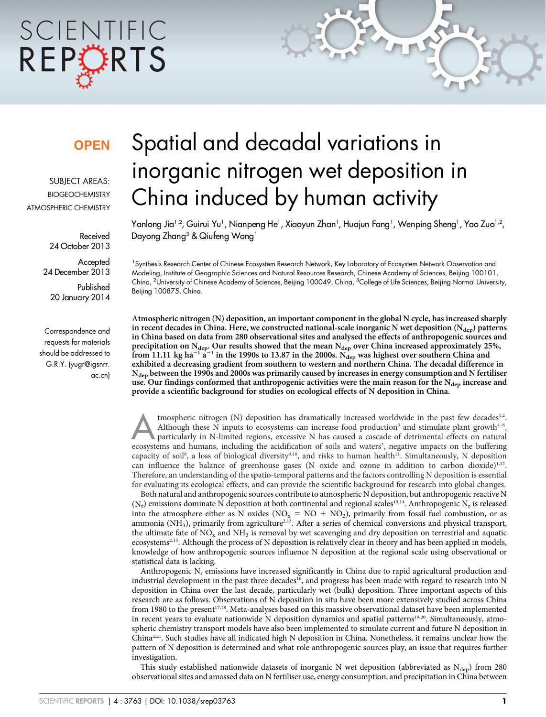# SCIENTIFIC REPORTS

### **OPEN**

SUBJECT AREAS: **BIOGEOCHEMISTRY** ATMOSPHERIC CHEMISTRY

> Received 24 October 2013

**Accepted** 24 December 2013

Published 20 January 2014

Correspondence and requests for materials should be addressed to G.R.Y. (yugr@igsnrr. ac.cn)

## Spatial and decadal variations in inorganic nitrogen wet deposition in China induced by human activity

Yanlong Jia<sup>1,2</sup>, Guirui Yu<sup>1</sup>, Nianpeng He<sup>1</sup>, Xiaoyun Zhan<sup>1</sup>, Huajun Fang<sup>1</sup>, Wenping Sheng<sup>1</sup>, Yao Zuo<sup>1,2</sup>, Dayong Zhang<sup>3</sup> & Qiufeng Wang<sup>1</sup>

1 Synthesis Research Center of Chinese Ecosystem Research Network, Key Laboratory of Ecosystem Network Observation and Modeling, Institute of Geographic Sciences and Natural Resources Research, Chinese Academy of Sciences, Beijing 100101, China, <sup>2</sup>University of Chinese Academy of Sciences, Beijing 100049, China, <sup>3</sup>College of Life Sciences, Beijing Normal University, Beijing 100875, China.

Atmospheric nitrogen (N) deposition, an important component in the global N cycle, has increased sharply in recent decades in China. Here, we constructed national-scale inorganic N wet deposition  $(N_{\text{den}})$  patterns in China based on data from 280 observational sites and analysed the effects of anthropogenic sources and precipitation on N<sub>dep</sub>. Our results showed that the mean N<sub>dep</sub> over China increased approximately 25%, from 11.11 kg ha<sup>-1</sup> a<sup>-1</sup> in the 1990s to 13.87 in the 2000s. N<sub>dep</sub> was highest over southern China and exhibited a decreasing gradient from southern to western and northern China. The decadal difference in N<sub>dep</sub> between the 1990s and 2000s was primarily caused by increases in energy consumption and N fertiliser use. Our findings conformed that anthropogenic activities were the main reason for the N<sub>dep</sub> increase and provide a scientific background for studies on ecological effects of N deposition in China.

tmospheric nitrogen (N) deposition has dramatically increased worldwide in the past few decades<sup>1,2</sup>.<br>Although these N inputs to ecosystems can increase food production<sup>3</sup> and stimulate plant growth<sup>4-6</sup>,<br>particularly in N Although these N inputs to ecosystems can increase food production<sup>3</sup> and stimulate plant growth<sup>4-6</sup>, ecosystems and humans, including the acidification of soils and waters<sup>7</sup>, negative impacts on the buffering capacity of soil<sup>8</sup>, a loss of biological diversity<sup>9,10</sup>, and risks to human health<sup>11</sup>. Simultaneously, N deposition can influence the balance of greenhouse gases (N oxide and ozone in addition to carbon dioxide)<sup>1,12</sup>. Therefore, an understanding of the spatio-temporal patterns and the factors controlling N deposition is essential for evaluating its ecological effects, and can provide the scientific background for research into global changes.

Both natural and anthropogenic sources contribute to atmospheric N deposition, but anthropogenic reactive N  $(N_r)$  emissions dominate N deposition at both continental and regional scales<sup>13,14</sup>. Anthropogenic N<sub>r</sub> is released into the atmosphere either as N oxides ( $NO_x = NO + NO_2$ ), primarily from fossil fuel combustion, or as ammonia (NH<sub>3</sub>), primarily from agriculture<sup>2,13</sup>. After a series of chemical conversions and physical transport, the ultimate fate of  $NO<sub>x</sub>$  and  $NH<sub>3</sub>$  is removal by wet scavenging and dry deposition on terrestrial and aquatic ecosystems<sup>2,15</sup>. Although the process of N deposition is relatively clear in theory and has been applied in models, knowledge of how anthropogenic sources influence N deposition at the regional scale using observational or statistical data is lacking.

Anthropogenic  $N_r$  emissions have increased significantly in China due to rapid agricultural production and industrial development in the past three decades<sup>16</sup>, and progress has been made with regard to research into N deposition in China over the last decade, particularly wet (bulk) deposition. Three important aspects of this research are as follows. Observations of N deposition in situ have been more extensively studied across China from 1980 to the present<sup>17,18</sup>. Meta-analyses based on this massive observational dataset have been implemented in recent years to evaluate nationwide N deposition dynamics and spatial patterns<sup>19,20</sup>. Simultaneously, atmospheric chemistry transport models have also been implemented to simulate current and future N deposition in China<sup>2,21</sup>. Such studies have all indicated high N deposition in China. Nonetheless, it remains unclear how the pattern of N deposition is determined and what role anthropogenic sources play, an issue that requires further investigation.

This study established nationwide datasets of inorganic N wet deposition (abbreviated as  $N_{\text{dep}}$ ) from 280 observational sites and amassed data on N fertiliser use, energy consumption, and precipitation in China between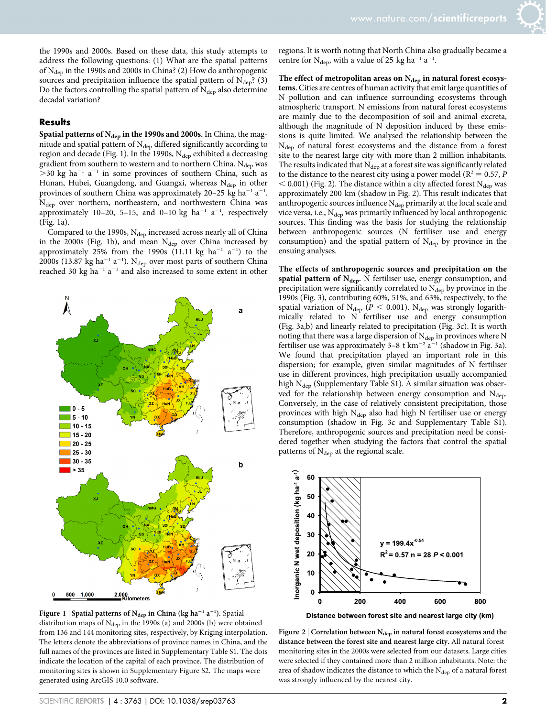the 1990s and 2000s. Based on these data, this study attempts to address the following questions: (1) What are the spatial patterns of  $N_{\text{dep}}$  in the 1990s and 2000s in China? (2) How do anthropogenic sources and precipitation influence the spatial pattern of  $N_{dep}$ ? (3) Do the factors controlling the spatial pattern of  $N_{\text{dep}}$  also determine decadal variation?

#### **Results**

Spatial patterns of  $N_{dep}$  in the 1990s and 2000s. In China, the magnitude and spatial pattern of  $N_{dep}$  differed significantly according to region and decade (Fig. 1). In the 1990s,  $N_{dep}$  exhibited a decreasing gradient from southern to western and to northern China.  $N_{dep}$  was  $>$ 30 kg ha<sup>-1</sup> a<sup>-1</sup> in some provinces of southern China, such as Hunan, Hubei, Guangdong, and Guangxi, whereas Ndep in other provinces of southern China was approximately 20–25 kg ha<sup>-1</sup> a<sup>-1</sup>. N<sub>dep</sub> over northern, northeastern, and northwestern China was approximately 10–20, 5–15, and 0–10 kg  $ha^{-1}$   $a^{-1}$ , respectively (Fig. 1a).

Compared to the 1990s,  $N_{dep}$  increased across nearly all of China in the 2000s (Fig. 1b), and mean  $N_{dep}$  over China increased by approximately 25% from the 1990s (11.11 kg ha<sup>-1</sup> a<sup>-1</sup>) to the 2000s (13.87 kg ha $^{-1}$  a $^{-1}$ ). N<sub>dep</sub> over most parts of southern China reached 30 kg ha<sup>-1</sup> a<sup>-1</sup> and also increased to some extent in other





regions. It is worth noting that North China also gradually became a centre for  $N_{\text{dep}}$ , with a value of 25 kg ha<sup>-1</sup> a<sup>-1</sup>.

The effect of metropolitan areas on  $N_{dep}$  in natural forest ecosystems. Cities are centres of human activity that emit large quantities of N pollution and can influence surrounding ecosystems through atmospheric transport. N emissions from natural forest ecosystems are mainly due to the decomposition of soil and animal excreta, although the magnitude of N deposition induced by these emissions is quite limited. We analysed the relationship between the N<sub>dep</sub> of natural forest ecosystems and the distance from a forest site to the nearest large city with more than 2 million inhabitants. The results indicated that  $N_{dep}$  at a forest site was significantly related to the distance to the nearest city using a power model ( $R^2 = 0.57$ , P  $<$  0.001) (Fig. 2). The distance within a city affected forest N<sub>dep</sub> was approximately 200 km (shadow in Fig. 2). This result indicates that anthropogenic sources influence  $N_{dep}$  primarily at the local scale and vice versa, i.e.,  $\rm N_{dep}$  was primarily influenced by local anthropogenic sources. This finding was the basis for studying the relationship between anthropogenic sources (N fertiliser use and energy consumption) and the spatial pattern of  $N_{dep}$  by province in the ensuing analyses.

The effects of anthropogenic sources and precipitation on the spatial pattern of  $N_{\text{dep}}$ . N fertiliser use, energy consumption, and precipitation were significantly correlated to  $N_{\text{dep}}$  by province in the 1990s (Fig. 3), contributing 60%, 51%, and 63%, respectively, to the spatial variation of N<sub>dep</sub> ( $P < 0.001$ ). N<sub>dep</sub> was strongly logarithmically related to N fertiliser use and energy consumption (Fig. 3a,b) and linearly related to precipitation (Fig. 3c). It is worth noting that there was a large dispersion of  $N_{\text{dep}}$  in provinces where N fertiliser use was approximately  $3-8$  t km<sup>-2</sup> a<sup>-1</sup> (shadow in Fig. 3a). We found that precipitation played an important role in this dispersion; for example, given similar magnitudes of N fertiliser use in different provinces, high precipitation usually accompanied high  $N_{den}$  (Supplementary Table S1). A similar situation was observed for the relationship between energy consumption and  $N_{dep}$ . Conversely, in the case of relatively consistent precipitation, those provinces with high  $N_{dep}$  also had high N fertiliser use or energy consumption (shadow in Fig. 3c and Supplementary Table S1). Therefore, anthropogenic sources and precipitation need be considered together when studying the factors that control the spatial patterns of  $N_{dep}$  at the regional scale.



Distance between forest site and nearest large city (km)

Figure 2 | Correlation between  $N_{dep}$  in natural forest ecosystems and the distance between the forest site and nearest large city. All natural forest monitoring sites in the 2000s were selected from our datasets. Large cities were selected if they contained more than 2 million inhabitants. Note: the area of shadow indicates the distance to which the  $N_{dep}$  of a natural forest was strongly influenced by the nearest city.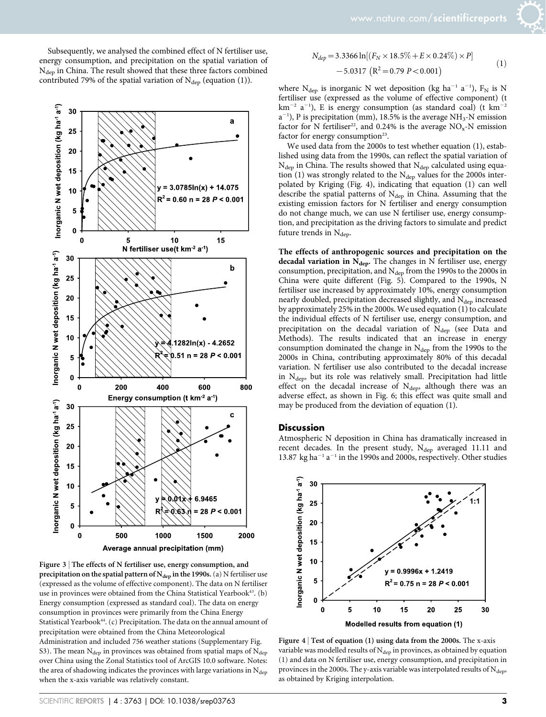Subsequently, we analysed the combined effect of N fertiliser use, energy consumption, and precipitation on the spatial variation of N<sub>dep</sub> in China. The result showed that these three factors combined contributed 79% of the spatial variation of  $N_{dep}$  (equation (1)).



Average annual precipitation (mm)

Figure 3 | The effects of N fertiliser use, energy consumption, and precipitation on the spatial pattern of  $N_{dep}$  in the 1990s. (a) N fertiliser use (expressed as the volume of effective component). The data on N fertiliser use in provinces were obtained from the China Statistical Yearbook<sup>43</sup>. (b) Energy consumption (expressed as standard coal). The data on energy consumption in provinces were primarily from the China Energy Statistical Yearbook<sup>44</sup>. (c) Precipitation. The data on the annual amount of precipitation were obtained from the China Meteorological Administration and included 756 weather stations (Supplementary Fig. S3). The mean  $N_{dep}$  in provinces was obtained from spatial maps of  $N_{dep}$ over China using the Zonal Statistics tool of ArcGIS 10.0 software. Notes: the area of shadowing indicates the provinces with large variations in  $N_{\rm dep}$ when the x-axis variable was relatively constant.

$$
N_{dep} = 3.3366 \ln[(F_N \times 18.5\% + E \times 0.24\%) \times P]
$$
  
-5.0317 (R<sup>2</sup> = 0.79 P < 0.001) (1)

where  $N_{dep}$  is inorganic N wet deposition (kg ha<sup>-1</sup> a<sup>-1</sup>),  $F_N$  is N fertiliser use (expressed as the volume of effective component) (t  $\rm km^{-2}$  a<sup>-1</sup>), E is energy consumption (as standard coal) (t  $\rm km^{-2}$  $a^{-1}$ ), P is precipitation (mm), 18.5% is the average NH<sub>3</sub>-N emission factor for N fertiliser<sup>22</sup>, and 0.24% is the average  $NO<sub>x</sub>$ -N emission factor for energy consumption $23$ .

We used data from the 2000s to test whether equation (1), established using data from the 1990s, can reflect the spatial variation of  $N_{dep}$  in China. The results showed that  $N_{dep}$  calculated using equation (1) was strongly related to the  $N_{\text{dep}}$  values for the 2000s interpolated by Kriging (Fig. 4), indicating that equation (1) can well describe the spatial patterns of N<sub>dep</sub> in China. Assuming that the existing emission factors for N fertiliser and energy consumption do not change much, we can use N fertiliser use, energy consumption, and precipitation as the driving factors to simulate and predict future trends in  $N_{\text{dep}}$ .

The effects of anthropogenic sources and precipitation on the decadal variation in  $N_{dep}$ . The changes in N fertiliser use, energy consumption, precipitation, and  $N_{dep}$  from the 1990s to the 2000s in China were quite different (Fig. 5). Compared to the 1990s, N fertiliser use increased by approximately 10%, energy consumption nearly doubled, precipitation decreased slightly, and  $N_{\text{dep}}$  increased by approximately 25% in the 2000s. We used equation (1) to calculate the individual effects of N fertiliser use, energy consumption, and precipitation on the decadal variation of  $N_{dep}$  (see Data and Methods). The results indicated that an increase in energy consumption dominated the change in  $N_{dep}$  from the 1990s to the 2000s in China, contributing approximately 80% of this decadal variation. N fertiliser use also contributed to the decadal increase in N<sub>dep</sub>, but its role was relatively small. Precipitation had little effect on the decadal increase of  $N_{\text{dep}}$ , although there was an adverse effect, as shown in Fig. 6; this effect was quite small and may be produced from the deviation of equation (1).

#### **Discussion**

Atmospheric N deposition in China has dramatically increased in recent decades. In the present study,  $N_{dep}$  averaged 11.11 and 13.87 kg ha<sup>-1</sup> a<sup>-1</sup> in the 1990s and 2000s, respectively. Other studies



Figure  $4$  | Test of equation (1) using data from the 2000s. The x-axis variable was modelled results of  $N_{dep}$  in provinces, as obtained by equation (1) and data on N fertiliser use, energy consumption, and precipitation in provinces in the 2000s. The y-axis variable was interpolated results of  $N_{\rm dep}$ , as obtained by Kriging interpolation.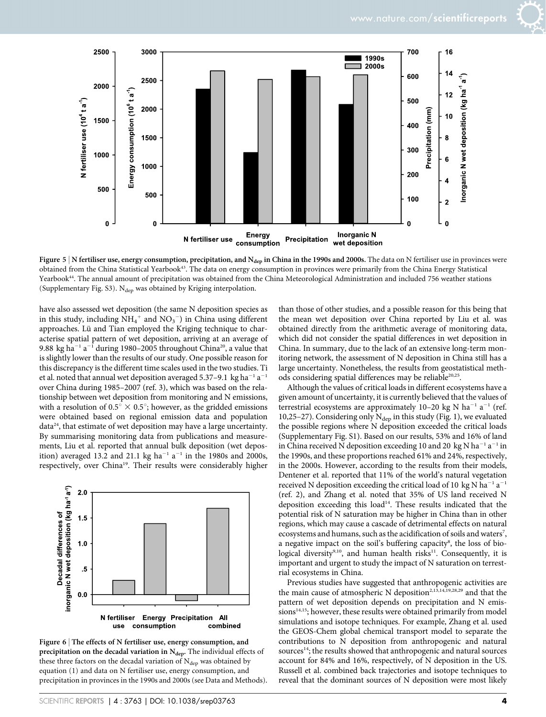

Figure 5 | N fertiliser use, energy consumption, precipitation, and  $N_{\text{dep}}$  in China in the 1990s and 2000s. The data on N fertiliser use in provinces were obtained from the China Statistical Yearbook43. The data on energy consumption in provinces were primarily from the China Energy Statistical Yearbook<sup>44</sup>. The annual amount of precipitation was obtained from the China Meteorological Administration and included 756 weather stations (Supplementary Fig. S3).  $N_{dep}$  was obtained by Kriging interpolation.

have also assessed wet deposition (the same N deposition species as in this study, including  $NH_4^+$  and  $NO_3^-$ ) in China using different approaches. Lü and Tian employed the Kriging technique to characterise spatial pattern of wet deposition, arriving at an average of 9.88 kg ha<sup>-1</sup> a<sup>-1</sup> during 1980–2005 throughout China<sup>20</sup>, a value that is slightly lower than the results of our study. One possible reason for this discrepancy is the different time scales used in the two studies. Ti et al. noted that annual wet deposition averaged 5.37–9.1 kg ha<sup>-1</sup> a<sup>-1</sup> over China during 1985–2007 (ref. 3), which was based on the relationship between wet deposition from monitoring and N emissions, with a resolution of 0.5°  $\times$  0.5°; however, as the gridded emissions were obtained based on regional emission data and population data<sup>24</sup>, that estimate of wet deposition may have a large uncertainty. By summarising monitoring data from publications and measurements, Liu et al. reported that annual bulk deposition (wet deposition) averaged 13.2 and 21.1 kg ha<sup>-1</sup> a<sup>-1</sup> in the 1980s and 2000s, respectively, over China<sup>19</sup>. Their results were considerably higher



Figure 6 | The effects of N fertiliser use, energy consumption, and precipitation on the decadal variation in  $N_{dep}$ . The individual effects of these three factors on the decadal variation of  $N_{dep}$  was obtained by equation (1) and data on N fertiliser use, energy consumption, and precipitation in provinces in the 1990s and 2000s (see Data and Methods).

SCIENTIFIC REPORTS | 4 : 3763 | DOI: 10.1038/srep03763 **4** 

than those of other studies, and a possible reason for this being that the mean wet deposition over China reported by Liu et al. was obtained directly from the arithmetic average of monitoring data, which did not consider the spatial differences in wet deposition in China. In summary, due to the lack of an extensive long-term monitoring network, the assessment of N deposition in China still has a large uncertainty. Nonetheless, the results from geostatistical methods considering spatial differences may be reliable<sup>20,25</sup>.

Although the values of critical loads in different ecosystems have a given amount of uncertainty, it is currently believed that the values of terrestrial ecosystems are approximately 10-20 kg N ha<sup>-1</sup> a<sup>-1</sup> (ref. 10,25–27). Considering only  $N_{dep}$  in this study (Fig. 1), we evaluated the possible regions where N deposition exceeded the critical loads (Supplementary Fig. S1). Based on our results, 53% and 16% of land in China received N deposition exceeding 10 and 20 kg N ha<sup>-1</sup> a<sup>-1</sup> in the 1990s, and these proportions reached 61% and 24%, respectively, in the 2000s. However, according to the results from their models, Dentener et al. reported that 11% of the world's natural vegetation received N deposition exceeding the critical load of 10 kg N ha<sup>-1</sup> a<sup>-1</sup> (ref. 2), and Zhang et al. noted that 35% of US land received N deposition exceeding this load<sup>14</sup>. These results indicated that the potential risk of N saturation may be higher in China than in other regions, which may cause a cascade of detrimental effects on natural ecosystems and humans, such as the acidification of soils and waters<sup>7</sup>, a negative impact on the soil's buffering capacity<sup>8</sup>, the loss of biological diversity<sup>9,10</sup>, and human health risks<sup>11</sup>. Consequently, it is important and urgent to study the impact of N saturation on terrestrial ecosystems in China.

Previous studies have suggested that anthropogenic activities are the main cause of atmospheric N deposition<sup>2,13,14,19,28,29</sup> and that the pattern of wet deposition depends on precipitation and N emissions<sup>14,15</sup>; however, these results were obtained primarily from model simulations and isotope techniques. For example, Zhang et al. used the GEOS-Chem global chemical transport model to separate the contributions to N deposition from anthropogenic and natural sources<sup>14</sup>; the results showed that anthropogenic and natural sources account for 84% and 16%, respectively, of N deposition in the US. Russell et al. combined back trajectories and isotope techniques to reveal that the dominant sources of N deposition were most likely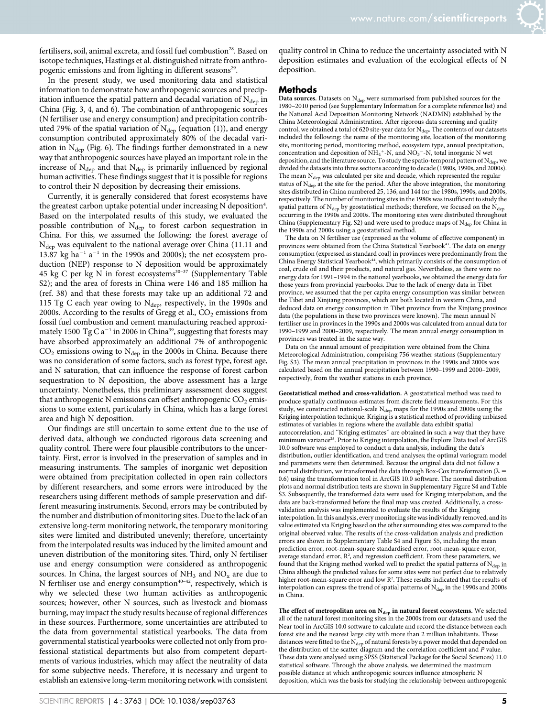fertilisers, soil, animal excreta, and fossil fuel combustion<sup>28</sup>. Based on isotope techniques, Hastings et al. distinguished nitrate from anthropogenic emissions and from lighting in different seasons<sup>29</sup>.

In the present study, we used monitoring data and statistical information to demonstrate how anthropogenic sources and precipitation influence the spatial pattern and decadal variation of  $N_{den}$  in China (Fig. 3, 4, and 6). The combination of anthropogenic sources (N fertiliser use and energy consumption) and precipitation contributed 79% of the spatial variation of  $N_{dep}$  (equation (1)), and energy consumption contributed approximately 80% of the decadal variation in  $N_{dep}$  (Fig. 6). The findings further demonstrated in a new way that anthropogenic sources have played an important role in the increase of  $N_{dep}$  and that  $N_{dep}$  is primarily influenced by regional human activities. These findings suggest that it is possible for regions to control their N deposition by decreasing their emissions.

Currently, it is generally considered that forest ecosystems have the greatest carbon uptake potential under increasing  $N$  deposition<sup>4</sup>. Based on the interpolated results of this study, we evaluated the possible contribution of N<sub>dep</sub> to forest carbon sequestration in China. For this, we assumed the following: the forest average of N<sub>dep</sub> was equivalent to the national average over China (11.11 and 13.87 kg ha<sup>-1</sup> a<sup>-1</sup> in the 1990s and 2000s); the net ecosystem production (NEP) response to N deposition would be approximately 45 kg C per kg N in forest ecosystems<sup>30-37</sup> (Supplementary Table S2); and the area of forests in China were 146 and 185 million ha (ref. 38) and that these forests may take up an additional 72 and 115 Tg C each year owing to  $N_{dep}$ , respectively, in the 1990s and 2000s. According to the results of Gregg et al.,  $CO<sub>2</sub>$  emissions from fossil fuel combustion and cement manufacturing reached approximately 1500 Tg C  $a^{-1}$  in 2006 in China<sup>39</sup>, suggesting that forests may have absorbed approximately an additional 7% of anthropogenic  $CO<sub>2</sub>$  emissions owing to  $N<sub>dep</sub>$  in the 2000s in China. Because there was no consideration of some factors, such as forest type, forest age, and N saturation, that can influence the response of forest carbon sequestration to N deposition, the above assessment has a large uncertainty. Nonetheless, this preliminary assessment does suggest that anthropogenic N emissions can offset anthropogenic  $CO<sub>2</sub>$  emissions to some extent, particularly in China, which has a large forest area and high N deposition.

Our findings are still uncertain to some extent due to the use of derived data, although we conducted rigorous data screening and quality control. There were four plausible contributors to the uncertainty. First, error is involved in the preservation of samples and in measuring instruments. The samples of inorganic wet deposition were obtained from precipitation collected in open rain collectors by different researchers, and some errors were introduced by the researchers using different methods of sample preservation and different measuring instruments. Second, errors may be contributed by the number and distribution of monitoring sites. Due to the lack of an extensive long-term monitoring network, the temporary monitoring sites were limited and distributed unevenly; therefore, uncertainty from the interpolated results was induced by the limited amount and uneven distribution of the monitoring sites. Third, only N fertiliser use and energy consumption were considered as anthropogenic sources. In China, the largest sources of  $NH<sub>3</sub>$  and  $NO<sub>x</sub>$  are due to N fertiliser use and energy consumption<sup>40-42</sup>, respectively, which is why we selected these two human activities as anthropogenic sources; however, other N sources, such as livestock and biomass burning, may impact the study results because of regional differences in these sources. Furthermore, some uncertainties are attributed to the data from governmental statistical yearbooks. The data from governmental statistical yearbooks were collected not only from professional statistical departments but also from competent departments of various industries, which may affect the neutrality of data for some subjective needs. Therefore, it is necessary and urgent to establish an extensive long-term monitoring network with consistent

quality control in China to reduce the uncertainty associated with N deposition estimates and evaluation of the ecological effects of N deposition.

#### Methods

Data sources. Datasets on  $N_{dep}$  were summarised from published sources for the 1980–2010 period (see Supplementary Information for a complete reference list) and the National Acid Deposition Monitoring Network (NADMN) established by the China Meteorological Administration. After rigorous data screening and quality control, we obtained a total of 620 site-year data for  $\rm N_{dep}$ . The contents of our datasets included the following: the name of the monitoring site, location of the monitoring site, monitoring period, monitoring method, ecosystem type, annual precipitation, concentration and deposition of  $NH_4^+$ -N, and  $NO_3^-$ -N, total inorganic N wet deposition, and the literature source. To study the spatio-temporal pattern of  $N_{\text{de}}$ divided the datasets into three sections according to decade (1980s, 1990s, and 2000s). The mean N<sub>dep</sub> was calculated per site and decade, which represented the regular status of N<sub>dep</sub> at the site for the period. After the above integration, the monitoring sites distributed in China numbered 25, 136, and 144 for the 1980s, 1990s, and 2000s, respectively. The number of monitoring sites in the 1980s was insufficient to study the spatial pattern of  $N_{\text{dep}}$  by geostatistical methods; therefore, we focused on the  $N_{\text{dep}}$ occurring in the 1990s and 2000s. The monitoring sites were distributed throughout China (Supplementary Fig. S2) and were used to produce maps of  $N_{den}$  for China in the 1990s and 2000s using a geostatistical method.

The data on N fertiliser use (expressed as the volume of effective component) in provinces were obtained from the China Statistical Yearbook<sup>43</sup>. The data on energy consumption (expressed as standard coal) in provinces were predominantly from the China Energy Statistical Yearbook<sup>44</sup>, which primarily consists of the consumption of coal, crude oil and their products, and natural gas. Nevertheless, as there were no energy data for 1991–1994 in the national yearbooks, we obtained the energy data for those years from provincial yearbooks. Due to the lack of energy data in Tibet province, we assumed that the per capita energy consumption was similar between the Tibet and Xinjiang provinces, which are both located in western China, and deduced data on energy consumption in Tibet province from the Xinjiang province data (the populations in these two provinces were known). The mean annual N fertiliser use in provinces in the 1990s and 2000s was calculated from annual data for 1990–1999 and 2000–2009, respectively. The mean annual energy consumption in provinces was treated in the same way.

Data on the annual amount of precipitation were obtained from the China Meteorological Administration, comprising 756 weather stations (Supplementary Fig. S3). The mean annual precipitation in provinces in the 1990s and 2000s was calculated based on the annual precipitation between 1990–1999 and 2000–2009, respectively, from the weather stations in each province.

Geostatistical method and cross-validation. A geostatistical method was used to produce spatially continuous estimates from discrete field measurements. For this study, we constructed national-scale  $N_{dep}$  maps for the 1990s and 2000s using the Kriging interpolation technique. Kriging is a statistical method of providing unbiased estimates of variables in regions where the available data exhibit spatial autocorrelation, and ''Kriging estimates'' are obtained in such a way that they have minimum variance<sup>25</sup>. Prior to Kriging interpolation, the Explore Data tool of ArcGIS 10.0 software was employed to conduct a data analysis, including the data's distribution, outlier identification, and trend analyses; the optimal variogram model and parameters were then determined. Because the original data did not follow a normal distribution, we transformed the data through Box-Cox transformation ( $\lambda$  = 0.6) using the transformation tool in ArcGIS 10.0 software. The normal distribution plots and normal distribution tests are shown in Supplementary Figure S4 and Table S3. Subsequently, the transformed data were used for Kriging interpolation, and the data are back-transformed before the final map was created. Additionally, a crossvalidation analysis was implemented to evaluate the results of the Kriging interpolation. In this analysis, every monitoring site was individually removed, and its value estimated via Kriging based on the other surrounding sites was compared to the original observed value. The results of the cross-validation analysis and prediction errors are shown in Supplementary Table S4 and Figure S5, including the mean prediction error, root-mean-square standardised error, root-mean-square error, average standard error,  $R^2$ , and regression coefficient. From these parameters, we found that the Kriging method worked well to predict the spatial patterns of  $\rm{N_{dep}}$  in China although the predicted values for some sites were not perfect due to relatively higher root-mean-square error and low R<sup>2</sup>. These results indicated that the results of interpolation can express the trend of spatial patterns of  $N_{\rm dep}$  in the 1990s and 2000s in China.

The effect of metropolitan area on  $N_{dep}$  in natural forest ecosystems. We selected all of the natural forest monitoring sites in the 2000s from our datasets and used the Near tool in ArcGIS 10.0 software to calculate and record the distance between each forest site and the nearest large city with more than 2 million inhabitants. These distances were fitted to the  $N_{\rm dep}$  of natural forests by a power model that depended on the distribution of the scatter diagram and the correlation coefficient and P value. These data were analysed using SPSS (Statistical Package for the Social Sciences) 11.0 statistical software. Through the above analysis, we determined the maximum possible distance at which anthropogenic sources influence atmospheric N deposition, which was the basis for studying the relationship between anthropogenic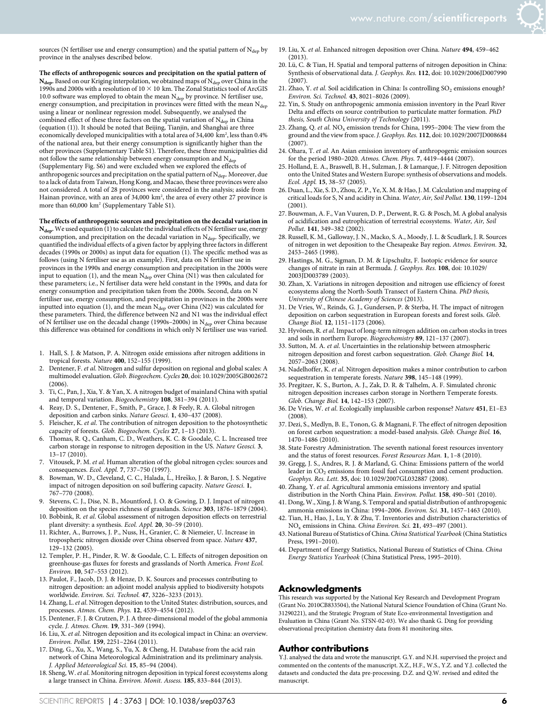

sources (N fertiliser use and energy consumption) and the spatial pattern of  $N_{dep}$  by province in the analyses described below.

The effects of anthropogenic sources and precipitation on the spatial pattern of  $N_{\text{dep}}$ . Based on our Kriging interpolation, we obtained maps of  $N_{\text{dep}}$  over China in the 1990s and 2000s with a resolution of  $10 \times 10$  km. The Zonal Statistics tool of ArcGIS 10.0 software was employed to obtain the mean  $N_{dep}$  by province. N fertiliser use, energy consumption, and precipitation in provinces were fitted with the mean  $N_{\text{dep}}$ using a linear or nonlinear regression model. Subsequently, we analysed the combined effect of these three factors on the spatial variation of  $N_{\text{dep}}$  in China (equation (1)). It should be noted that Beijing, Tianjin, and Shanghai are three economically developed municipalities with a total area of 34,400  $\,\mathrm{km^2}$ , less than 0.4% of the national area, but their energy consumption is significantly higher than the other provinces (Supplementary Table S1). Therefore, these three municipalities did not follow the same relationship between energy consumption and  $N_{\rm dep}$ (Supplementary Fig. S6) and were excluded when we explored the effects of anthropogenic sources and precipitation on the spatial pattern of  $N_{\text{dep}}$ . Moreover, due to a lack of data from Taiwan, Hong Kong, and Macao, these three provinces were also not considered. A total of 28 provinces were considered in the analysis; aside from Hainan province, with an area of 34,000 km2 , the area of every other 27 province is more than 60,000 km<sup>2</sup> (Supplementary Table S1).

The effects of anthropogenic sources and precipitation on the decadal variation in  $N_{\text{dep}}$ . We used equation (1) to calculate the individual effects of N fertiliser use, energy consumption, and precipitation on the decadal variation in  $N_{dep}$ . Specifically, we quantified the individual effects of a given factor by applying three factors in different decades (1990s or 2000s) as input data for equation (1). The specific method was as follows (using N fertiliser use as an example). First, data on N fertiliser use in provinces in the 1990s and energy consumption and precipitation in the 2000s were input to equation (1), and the mean  $N_{dep}$  over China (N1) was then calculated for these parameters; i.e., N fertiliser data were held constant in the 1990s, and data for energy consumption and precipitation taken from the 2000s. Second, data on N fertiliser use, energy consumption, and precipitation in provinces in the 2000s were inputted into equation (1), and the mean  $N_{dep}$  over China (N2) was calculated for these parameters. Third, the difference between N2 and N1 was the individual effect of N fertiliser use on the decadal change (1990s–2000s) in  $N_{dep}$  over China because this difference was obtained for conditions in which only N fertiliser use was varied.

- 1. Hall, S. J. & Matson, P. A. Nitrogen oxide emissions after nitrogen additions in tropical forests. Nature 400, 152–155 (1999).
- 2. Dentener, F. et al. Nitrogen and sulfur deposition on regional and global scales: A multimodel evaluation. Glob. Biogeochem. Cycles 20, doi: 10.1029/2005GB002672 (2006).
- 3. Ti, C., Pan, J., Xia, Y. & Yan, X. A nitrogen budget of mainland China with spatial and temporal variation. Biogeochemistry 108, 381–394 (2011).
- 4. Reay, D. S., Dentener, F., Smith, P., Grace, J. & Feely, R. A. Global nitrogen deposition and carbon sinks. Nature Geosci. 1, 430–437 (2008).
- 5. Fleischer, K. et al. The contribution of nitrogen deposition to the photosynthetic capacity of forests. Glob. Biogeochem. Cycles 27, 1–13 (2013).
- 6. Thomas, R. Q., Canham, C. D., Weathers, K. C. & Goodale, C. L. Increased tree carbon storage in response to nitrogen deposition in the US. Nature Geosci. 3, 13–17 (2010).
- 7. Vitousek, P. M. et al. Human alteration of the global nitrogen cycles: sources and consequences. Ecol. Appl. 7, 737–750 (1997).
- 8. Bowman, W. D., Cleveland, C. C., Halada, L., Hreško, J. & Baron, J. S. Negative impact of nitrogen deposition on soil buffering capacity. Nature Geosci. 1, 767–770 (2008).
- Stevens, C. J., Dise, N. B., Mountford, J. O. & Gowing, D. J. Impact of nitrogen deposition on the species richness of grasslands. Science 303, 1876–1879 (2004).
- 10. Bobbink, R. et al. Global assessment of nitrogen deposition effects on terrestrial plant diversity: a synthesis. Ecol. Appl. 20, 30–59 (2010).
- 11. Richter, A., Burrows, J. P., Nuss, H., Granier, C. & Niemeier, U. Increase in tropospheric nitrogen dioxide over China observed from space. Nature 437, 129–132 (2005).
- 12. Templer, P. H., Pinder, R. W. & Goodale, C. L. Effects of nitrogen deposition on greenhouse-gas fluxes for forests and grasslands of North America. Front Ecol. Environ. 10, 547–553 (2012).
- 13. Paulot, F., Jacob, D. J. & Henze, D. K. Sources and processes contributing to nitrogen deposition: an adjoint model analysis applied to biodiversity hotspots worldwide. Environ. Sci. Technol. 47, 3226–3233 (2013).
- 14. Zhang, L.et al. Nitrogen deposition to the United States: distribution, sources, and processes. Atmos. Chem. Phys. 12, 4539–4554 (2012).
- 15. Dentener, F. J. & Crutzen, P. J. A three-dimensional model of the global ammonia cycle. J. Atmos. Chem. 19, 331–369 (1994).
- 16. Liu, X. et al. Nitrogen deposition and its ecological impact in China: an overview. Environ. Pollut. 159, 2251–2264 (2011).
- 17. Ding, G., Xu, X., Wang, S., Yu, X. & Cheng, H. Database from the acid rain network of China Meteorological Administration and its preliminary analysis. J. Applied Meteorological Sci. 15, 85–94 (2004).
- 18. Sheng, W.et al. Monitoring nitrogen deposition in typical forest ecosystems along a large transect in China. Environ. Monit. Assess. 185, 833–844 (2013).
- 19. Liu, X. et al. Enhanced nitrogen deposition over China. Nature 494, 459–462 (2013).
- 20. Lü, C. & Tian, H. Spatial and temporal patterns of nitrogen deposition in China: Synthesis of observational data. J. Geophys. Res. 112, doi: 10.1029/2006JD007990  $(2007)$ .
- 21. Zhao, Y. et al. Soil acidification in China: Is controlling  $SO<sub>2</sub>$  emissions enough? Environ. Sci. Technol. 43, 8021–8026 (2009).
- 22. Yin, S. Study on anthropogenic ammonia emission inventory in the Pearl River Delta and effects on source contribution to particulate matter formation. PhD thesis, South China University of Technology (2011).
- 23. Zhang, Q. et al.  $NO<sub>x</sub>$  emission trends for China, 1995–2004: The view from the ground and the view from space. J. Geophys. Res. 112, doi: 10.1029/2007JD008684 (2007).
- 24. Ohara, T. et al. An Asian emission inventory of anthropogenic emission sources for the period 1980–2020. Atmos. Chem. Phys. 7, 4419–4444 (2007).
- 25. Holland, E. A., Braswell, B. H., Sulzman, J. & Lamarque, J. F. Nitrogen deposition onto the United States and Western Europe: synthesis of observations and models. Ecol. Appl. 15, 38–57 (2005).
- 26. Duan, L., Xie, S. D., Zhou, Z. P., Ye, X. M. & Hao, J. M. Calculation and mapping of critical loads for S, N and acidity in China. Water, Air, Soil Pollut. 130, 1199–1204 (2001).
- 27. Bouwman, A. F., Van Vuuren, D. P., Derwent, R. G. & Posch, M. A global analysis of acidification and eutrophication of terrestrial ecosystems. Water, Air, Soil Pollut. 141, 349–382 (2002).
- 28. Russell, K. M., Galloway, J. N., Macko, S. A., Moody, J. L. & Scudlark, J. R. Sources of nitrogen in wet deposition to the Chesapeake Bay region. Atmos. Environ. 32, 2453–2465 (1998).
- 29. Hastings, M. G., Sigman, D. M. & Lipschultz, F. Isotopic evidence for source changes of nitrate in rain at Bermuda. J. Geophys. Res. 108, doi: 10.1029/ 2003JD003789 (2003).
- 30. Zhan, X. Variations in nitrogen deposition and nitrogen use efficiency of forest ecosystems along the North-South Transect of Eastern China. PhD thesis, University of Chinese Academy of Sciences (2013).
- 31. De Vries, W., Reinds, G. J., Gundersen, P. & Sterba, H. The impact of nitrogen deposition on carbon sequestration in European forests and forest soils. Glob. Change Biol. 12, 1151–1173 (2006).
- 32. Hyvönen, R. et al. Impact of long-term nitrogen addition on carbon stocks in trees and soils in northern Europe. Biogeochemistry 89, 121–137 (2007).
- 33. Sutton, M. A. et al. Uncertainties in the relationship between atmospheric nitrogen deposition and forest carbon sequestration. Glob. Change Biol. 14, 2057–2063 (2008).
- 34. Nadelhoffer, K. et al. Nitrogen deposition makes a minor contribution to carbon sequestration in temperate forests. Nature 398, 145–148 (1999).
- 35. Pregitzer, K. S., Burton, A. J., Zak, D. R. & Talhelm, A. F. Simulated chronic nitrogen deposition increases carbon storage in Northern Temperate forests. Glob. Change Biol. 14, 142–153 (2007).
- 36. De Vries, W. et al. Ecologically implausible carbon response? Nature 451, E1–E3 (2008).
- 37. Dezi, S., Medlyn, B. E., Tonon, G. & Magnani, F. The effect of nitrogen deposition on forest carbon sequestration: a model-based analysis. Glob. Change Biol. 16, 1470–1486 (2010).
- 38. State Forestry Administration. The seventh national forest resources inventory and the status of forest resources. Forest Resources Man. 1, 1–8 (2010).
- 39. Gregg, J. S., Andres, R. J. & Marland, G. China: Emissions pattern of the world leader in CO<sub>2</sub> emissions from fossil fuel consumption and cement production. Geophys. Res. Lett. 35, doi: 10.1029/2007GL032887 (2008).
- 40. Zhang, Y. et al. Agricultural ammonia emissions inventory and spatial distribution in the North China Plain. Environ. Pollut. 158, 490–501 (2010).
- 41. Dong, W., Xing, J. & Wang, S. Temporal and spatial distribution of anthropogenic ammonia emissions in China: 1994–2006. Environ. Sci. 31, 1457–1463 (2010).
- 42. Tian, H., Hao, J., Lu, Y. & Zhu, T. Inventories and distribution characteristics of NOx emissions in China. China Environ. Sci. 21, 493–497 (2001).
- 43. National Bureau of Statistics of China. China Statistical Yearbook (China Statistics Press, 1991–2010).
- 44. Department of Energy Statistics, National Bureau of Statistics of China. China Energy Statistics Yearbook (China Statistical Press, 1995–2010).

#### Acknowledgments

This research was supported by the National Key Research and Development Program (Grant No. 2010CB833504), the National Natural Science Foundation of China (Grant No. 31290221), and the Strategic Program of State Eco-environmental Investigation and Evaluation in China (Grant No. STSN-02-03). We also thank G. Ding for providing observational precipitation chemistry data from 81 monitoring sites.

#### Author contributions

Y.J. analysed the data and wrote the manuscript. G.Y. and N.H. supervised the project and commented on the contents of the manuscript. X.Z., H.F., W.S., Y.Z. and Y.J. collected the datasets and conducted the data pre-processing. D.Z. and Q.W. revised and edited the manuscript.